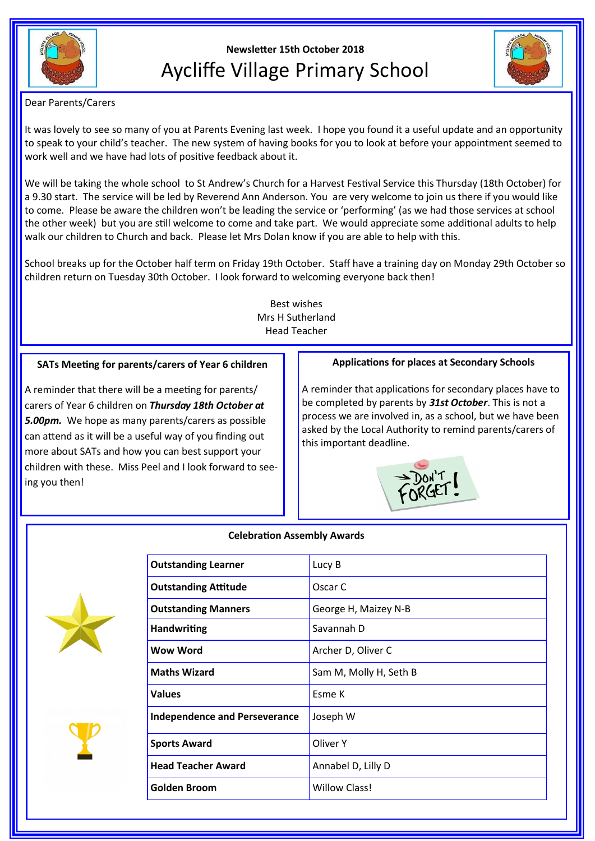

# **Newsletter 15th October 2018** Aycliffe Village Primary School



### Dear Parents/Carers

It was lovely to see so many of you at Parents Evening last week. I hope you found it a useful update and an opportunity to speak to your child's teacher. The new system of having books for you to look at before your appointment seemed to work well and we have had lots of positive feedback about it.

We will be taking the whole school to St Andrew's Church for a Harvest Festival Service this Thursday (18th October) for a 9.30 start. The service will be led by Reverend Ann Anderson. You are very welcome to join us there if you would like to come. Please be aware the children won't be leading the service or 'performing' (as we had those services at school the other week) but you are still welcome to come and take part. We would appreciate some additional adults to help walk our children to Church and back. Please let Mrs Dolan know if you are able to help with this.

School breaks up for the October half term on Friday 19th October. Staff have a training day on Monday 29th October so children return on Tuesday 30th October. I look forward to welcoming everyone back then!

> Best wishes Mrs H Sutherland Head Teacher

# **SATs Meeting for parents/carers of Year 6 children**

A reminder that there will be a meeting for parents/ carers of Year 6 children on *Thursday 18th October at 5.00pm.* We hope as many parents/carers as possible can attend as it will be a useful way of you finding out more about SATs and how you can best support your children with these. Miss Peel and I look forward to seeing you then!

# **Applications for places at Secondary Schools**

A reminder that applications for secondary places have to be completed by parents by *31st October*. This is not a process we are involved in, as a school, but we have been asked by the Local Authority to remind parents/carers of this important deadline.









**Celebration Assembly Awards**

| <b>Outstanding Learner</b>           | Lucy B                 |
|--------------------------------------|------------------------|
| <b>Outstanding Attitude</b>          | Oscar C                |
| <b>Outstanding Manners</b>           | George H, Maizey N-B   |
| <b>Handwriting</b>                   | Savannah D             |
| Wow Word                             | Archer D, Oliver C     |
| <b>Maths Wizard</b>                  | Sam M, Molly H, Seth B |
| <b>Values</b>                        | Esme K                 |
| <b>Independence and Perseverance</b> | Joseph W               |
| <b>Sports Award</b>                  | Oliver Y               |
| <b>Head Teacher Award</b>            | Annabel D, Lilly D     |
| Golden Broom                         | <b>Willow Class!</b>   |
|                                      |                        |